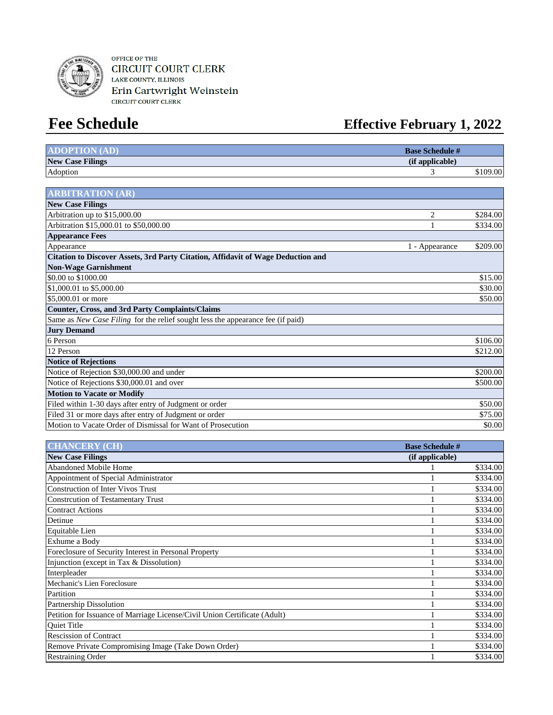

OFFICE OF THE **CIRCUIT COURT CLERK** LAKE COUNTY, ILLINOIS Erin Cartwright Weinstein

# **Fee Schedule Effective February 1, 2022**

| <b>ADOPTION (AD)</b>                                                             | <b>Base Schedule #</b> |          |
|----------------------------------------------------------------------------------|------------------------|----------|
| <b>New Case Filings</b>                                                          | (if applicable)        |          |
| Adoption                                                                         | 3                      | \$109.00 |
|                                                                                  |                        |          |
| <b>ARBITRATION (AR)</b>                                                          |                        |          |
| <b>New Case Filings</b>                                                          |                        |          |
| Arbitration up to \$15,000.00                                                    | $\overline{2}$         | \$284.00 |
| Arbitration \$15,000.01 to \$50,000.00                                           |                        | \$334.00 |
| <b>Appearance Fees</b>                                                           |                        |          |
| Appearance                                                                       | 1 - Appearance         | \$209.00 |
| Citation to Discover Assets, 3rd Party Citation, Affidavit of Wage Deduction and |                        |          |
| <b>Non-Wage Garnishment</b>                                                      |                        |          |
| \$0.00 to \$1000.00                                                              |                        | \$15.00  |
| \$1,000.01 to \$5,000.00                                                         |                        | \$30.00  |
| \$5,000.01 or more                                                               |                        | \$50.00  |
| <b>Counter, Cross, and 3rd Party Complaints/Claims</b>                           |                        |          |
| Same as New Case Filing for the relief sought less the appearance fee (if paid)  |                        |          |
| <b>Jury Demand</b>                                                               |                        |          |
| 6 Person                                                                         |                        | \$106.00 |
| 12 Person                                                                        |                        | \$212.00 |
| <b>Notice of Rejections</b>                                                      |                        |          |
| Notice of Rejection \$30,000.00 and under                                        |                        | \$200.00 |
| Notice of Rejections \$30,000.01 and over                                        |                        | \$500.00 |
| <b>Motion to Vacate or Modify</b>                                                |                        |          |
| Filed within 1-30 days after entry of Judgment or order                          |                        | \$50.00  |
| Filed 31 or more days after entry of Judgment or order                           |                        | \$75.00  |
| Motion to Vacate Order of Dismissal for Want of Prosecution                      |                        | \$0.00   |

| <b>CHANCERY (CH)</b>                                                      | <b>Base Schedule #</b> |          |
|---------------------------------------------------------------------------|------------------------|----------|
| <b>New Case Filings</b>                                                   | (if applicable)        |          |
| <b>Abandoned Mobile Home</b>                                              |                        | \$334.00 |
| Appointment of Special Administrator                                      |                        | \$334.00 |
| <b>Construction of Inter Vivos Trust</b>                                  |                        | \$334.00 |
| <b>Constrcution of Testamentary Trust</b>                                 |                        | \$334.00 |
| <b>Contract Actions</b>                                                   |                        | \$334.00 |
| Detinue                                                                   |                        | \$334.00 |
| Equitable Lien                                                            |                        | \$334.00 |
| Exhume a Body                                                             |                        | \$334.00 |
| Foreclosure of Security Interest in Personal Property                     |                        | \$334.00 |
| Injunction (except in Tax & Dissolution)                                  |                        | \$334.00 |
| Interpleader                                                              |                        | \$334.00 |
| Mechanic's Lien Foreclosure                                               |                        | \$334.00 |
| Partition                                                                 |                        | \$334.00 |
| Partnership Dissolution                                                   |                        | \$334.00 |
| Petition for Issuance of Marriage License/Civil Union Certificate (Adult) |                        | \$334.00 |
| <b>Ouiet Title</b>                                                        |                        | \$334.00 |
| <b>Rescission of Contract</b>                                             |                        | \$334.00 |
| Remove Private Compromising Image (Take Down Order)                       |                        | \$334.00 |
| <b>Restraining Order</b>                                                  |                        | \$334.00 |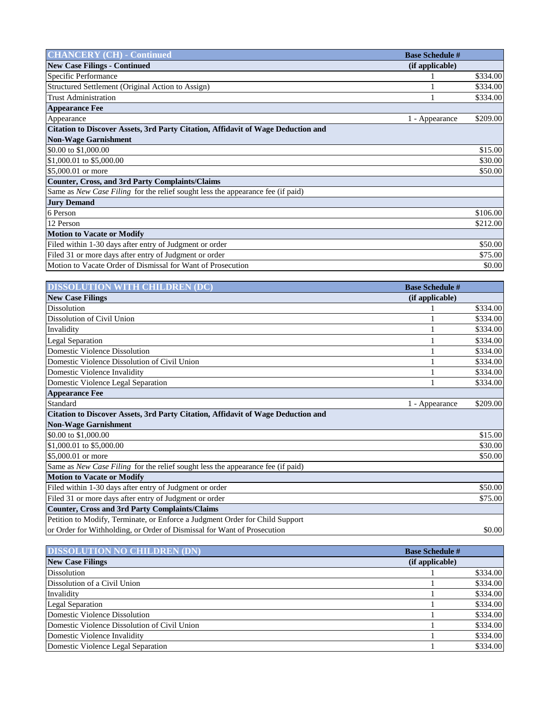| <b>CHANCERY (CH) - Continued</b>                                                        | <b>Base Schedule #</b> |          |
|-----------------------------------------------------------------------------------------|------------------------|----------|
| <b>New Case Filings - Continued</b>                                                     | (if applicable)        |          |
| Specific Performance                                                                    |                        | \$334.00 |
| Structured Settlement (Original Action to Assign)                                       |                        | \$334.00 |
| <b>Trust Administration</b>                                                             |                        | \$334.00 |
| <b>Appearance Fee</b>                                                                   |                        |          |
| Appearance                                                                              | 1 - Appearance         | \$209.00 |
| <b>Citation to Discover Assets, 3rd Party Citation, Affidavit of Wage Deduction and</b> |                        |          |
| <b>Non-Wage Garnishment</b>                                                             |                        |          |
| \$0.00 to \$1,000.00                                                                    |                        | \$15.00  |
| \$1,000.01 to \$5,000.00                                                                |                        | \$30.00  |
| \$5,000.01 or more                                                                      |                        | \$50.00  |
| <b>Counter, Cross, and 3rd Party Complaints/Claims</b>                                  |                        |          |
| Same as New Case Filing for the relief sought less the appearance fee (if paid)         |                        |          |
| <b>Jury Demand</b>                                                                      |                        |          |
| 6 Person                                                                                |                        | \$106.00 |
| 12 Person                                                                               |                        | \$212.00 |
| <b>Motion to Vacate or Modify</b>                                                       |                        |          |
| Filed within 1-30 days after entry of Judgment or order                                 |                        | \$50.00  |
| Filed 31 or more days after entry of Judgment or order                                  |                        | \$75.00  |
| Motion to Vacate Order of Dismissal for Want of Prosecution                             |                        | \$0.00   |

| <b>DISSOLUTION WITH CHILDREN (DC)</b>                                            | <b>Base Schedule #</b> |          |
|----------------------------------------------------------------------------------|------------------------|----------|
| <b>New Case Filings</b>                                                          | (if applicable)        |          |
| <b>Dissolution</b>                                                               |                        | \$334.00 |
| Dissolution of Civil Union                                                       |                        | \$334.00 |
| Invalidity                                                                       |                        | \$334.00 |
| <b>Legal Separation</b>                                                          |                        | \$334.00 |
| <b>Domestic Violence Dissolution</b>                                             |                        | \$334.00 |
| Domestic Violence Dissolution of Civil Union                                     |                        | \$334.00 |
| Domestic Violence Invalidity                                                     |                        | \$334.00 |
| Domestic Violence Legal Separation                                               |                        | \$334.00 |
| <b>Appearance Fee</b>                                                            |                        |          |
| Standard                                                                         | 1 - Appearance         | \$209.00 |
| Citation to Discover Assets, 3rd Party Citation, Affidavit of Wage Deduction and |                        |          |
| <b>Non-Wage Garnishment</b>                                                      |                        |          |
| \$0.00 to \$1,000.00                                                             |                        | \$15.00  |
| \$1,000.01 to \$5,000.00                                                         |                        | \$30.00  |
| \$5,000.01 or more                                                               |                        | \$50.00  |
| Same as New Case Filing for the relief sought less the appearance fee (if paid)  |                        |          |
| <b>Motion to Vacate or Modify</b>                                                |                        |          |
| Filed within 1-30 days after entry of Judgment or order                          |                        | \$50.00  |
| Filed 31 or more days after entry of Judgment or order                           |                        | \$75.00  |
| <b>Counter, Cross and 3rd Party Complaints/Claims</b>                            |                        |          |
| Petition to Modify, Terminate, or Enforce a Judgment Order for Child Support     |                        |          |
| or Order for Withholding, or Order of Dismissal for Want of Prosecution          |                        | \$0.00   |

| <b>DISSOLUTION NO CHILDREN (DN)</b>          | <b>Base Schedule #</b> |          |
|----------------------------------------------|------------------------|----------|
| <b>New Case Filings</b>                      | (if applicable)        |          |
| Dissolution                                  |                        | \$334.00 |
| Dissolution of a Civil Union                 |                        | \$334.00 |
| Invalidity                                   |                        | \$334.00 |
| <b>Legal Separation</b>                      |                        | \$334.00 |
| Domestic Violence Dissolution                |                        | \$334.00 |
| Domestic Violence Dissolution of Civil Union |                        | \$334.00 |
| Domestic Violence Invalidity                 |                        | \$334.00 |
| Domestic Violence Legal Separation           |                        | \$334.00 |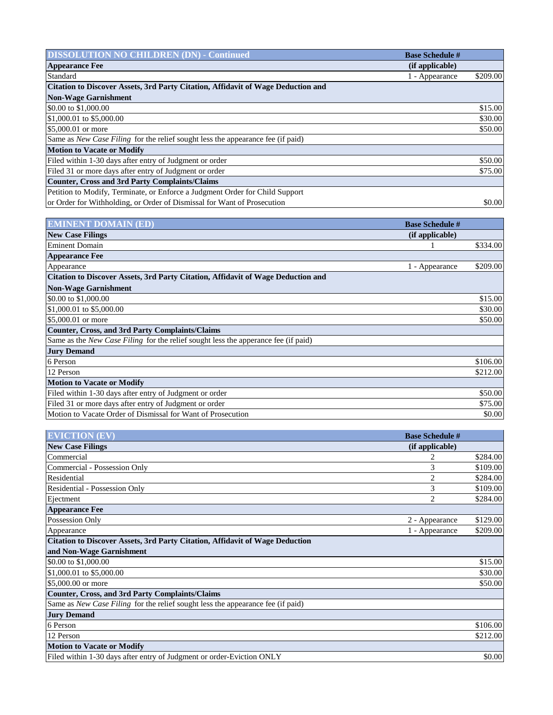| <b>DISSOLUTION NO CHILDREN (DN) - Continued</b>                                         | <b>Base Schedule #</b>     |
|-----------------------------------------------------------------------------------------|----------------------------|
| <b>Appearance Fee</b>                                                                   | (if applicable)            |
| Standard                                                                                | \$209.00<br>1 - Appearance |
| <b>Citation to Discover Assets, 3rd Party Citation, Affidavit of Wage Deduction and</b> |                            |
| <b>Non-Wage Garnishment</b>                                                             |                            |
| \$0.00 to \$1,000.00                                                                    | \$15.00                    |
| \$1,000.01 to \$5,000.00                                                                | \$30.00                    |
| \$5,000.01 or more                                                                      | \$50.00                    |
| Same as New Case Filing for the relief sought less the appearance fee (if paid)         |                            |
| <b>Motion to Vacate or Modify</b>                                                       |                            |
| Filed within 1-30 days after entry of Judgment or order                                 | \$50.00                    |
| Filed 31 or more days after entry of Judgment or order                                  | \$75.00                    |
| <b>Counter, Cross and 3rd Party Complaints/Claims</b>                                   |                            |
| Petition to Modify, Terminate, or Enforce a Judgment Order for Child Support            |                            |
| or Order for Withholding, or Order of Dismissal for Want of Prosecution                 | \$0.00                     |

| <b>EMINENT DOMAIN (ED)</b>                                                                | <b>Base Schedule #</b> |          |
|-------------------------------------------------------------------------------------------|------------------------|----------|
| <b>New Case Filings</b>                                                                   | (if applicable)        |          |
| Eminent Domain                                                                            |                        | \$334.00 |
| <b>Appearance Fee</b>                                                                     |                        |          |
| Appearance                                                                                | 1 - Appearance         | \$209.00 |
| <b>Citation to Discover Assets, 3rd Party Citation, Affidavit of Wage Deduction and</b>   |                        |          |
| <b>Non-Wage Garnishment</b>                                                               |                        |          |
| \$0.00 to \$1,000.00                                                                      |                        | \$15.00  |
| \$1,000.01 to \$5,000.00                                                                  |                        | \$30.00  |
| \$5,000.01 or more                                                                        |                        | \$50.00  |
| Counter, Cross, and 3rd Party Complaints/Claims                                           |                        |          |
| Same as the <i>New Case Filing</i> for the relief sought less the apperance fee (if paid) |                        |          |
| <b>Jury Demand</b>                                                                        |                        |          |
| 6 Person                                                                                  |                        | \$106.00 |
| 12 Person                                                                                 |                        | \$212.00 |
| <b>Motion to Vacate or Modify</b>                                                         |                        |          |
| Filed within 1-30 days after entry of Judgment or order                                   |                        | \$50.00  |
| Filed 31 or more days after entry of Judgment or order                                    |                        | \$75.00  |
| Motion to Vacate Order of Dismissal for Want of Prosecution                               |                        | \$0.00   |

| <b>EVICTION (EV)</b>                                                                | <b>Base Schedule #</b> |          |
|-------------------------------------------------------------------------------------|------------------------|----------|
| <b>New Case Filings</b>                                                             | (if applicable)        |          |
| Commercial                                                                          | 2                      | \$284.00 |
| Commercial - Possession Only                                                        | 3                      | \$109.00 |
| Residential                                                                         | 2                      | \$284.00 |
| Residential - Possession Only                                                       | 3                      | \$109.00 |
| Ejectment                                                                           | 2                      | \$284.00 |
| <b>Appearance Fee</b>                                                               |                        |          |
| Possession Only                                                                     | 2 - Appearance         | \$129.00 |
| Appearance                                                                          | 1 - Appearance         | \$209.00 |
| <b>Citation to Discover Assets, 3rd Party Citation, Affidavit of Wage Deduction</b> |                        |          |
| and Non-Wage Garnishment                                                            |                        |          |
| \$0.00 to \$1,000.00                                                                |                        | \$15.00  |
| \$1,000.01 to \$5,000.00                                                            |                        | \$30.00  |
| \$5,000.00 or more                                                                  |                        | \$50.00  |
| <b>Counter, Cross, and 3rd Party Complaints/Claims</b>                              |                        |          |
| Same as New Case Filing for the relief sought less the appearance fee (if paid)     |                        |          |
| <b>Jury Demand</b>                                                                  |                        |          |
| 6 Person                                                                            |                        | \$106.00 |
| 12 Person                                                                           |                        | \$212.00 |
| <b>Motion to Vacate or Modify</b>                                                   |                        |          |
| Filed within 1-30 days after entry of Judgment or order-Eviction ONLY               |                        | \$0.00   |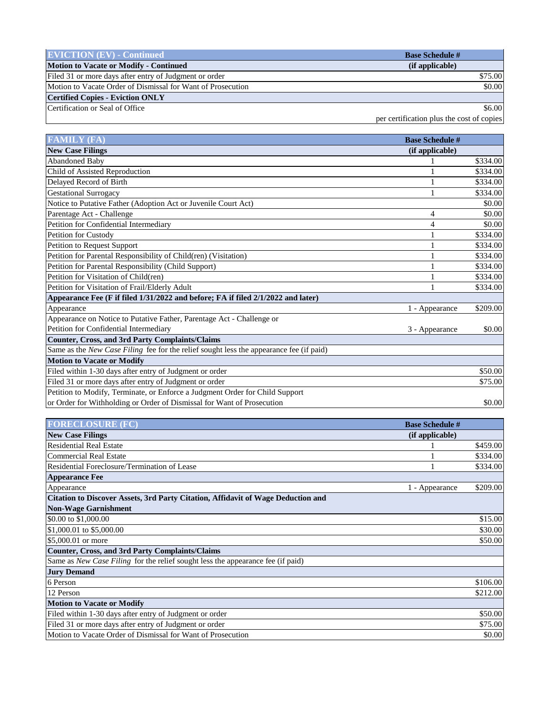| <b>EVICTION</b> $(EV)$ - Continued                          | <b>Base Schedule #</b>                    |
|-------------------------------------------------------------|-------------------------------------------|
| <b>Motion to Vacate or Modify - Continued</b>               | (if applicable)                           |
| Filed 31 or more days after entry of Judgment or order      | \$75.00                                   |
| Motion to Vacate Order of Dismissal for Want of Prosecution | \$0.00                                    |
| <b>Certified Copies - Eviction ONLY</b>                     |                                           |
| Certification or Seal of Office                             | \$6.00                                    |
|                                                             | per certification plus the cost of copies |

| <b>FAMILY (FA)</b>                                                                      | <b>Base Schedule #</b> |          |
|-----------------------------------------------------------------------------------------|------------------------|----------|
| <b>New Case Filings</b>                                                                 | (if applicable)        |          |
| <b>Abandoned Baby</b>                                                                   |                        | \$334.00 |
| Child of Assisted Reproduction                                                          |                        | \$334.00 |
| Delayed Record of Birth                                                                 |                        | \$334.00 |
| <b>Gestational Surrogacy</b>                                                            |                        | \$334.00 |
| Notice to Putative Father (Adoption Act or Juvenile Court Act)                          |                        | \$0.00   |
| Parentage Act - Challenge                                                               | 4                      | \$0.00   |
| Petition for Confidential Intermediary                                                  | 4                      | \$0.00   |
| Petition for Custody                                                                    |                        | \$334.00 |
| Petition to Request Support                                                             |                        | \$334.00 |
| Petition for Parental Responsibility of Child(ren) (Visitation)                         |                        | \$334.00 |
| Petition for Parental Responsibility (Child Support)                                    |                        | \$334.00 |
| Petition for Visitation of Child(ren)                                                   |                        | \$334.00 |
| Petition for Visitation of Frail/Elderly Adult                                          |                        | \$334.00 |
| Appearance Fee (F if filed 1/31/2022 and before; FA if filed 2/1/2022 and later)        |                        |          |
| Appearance                                                                              | 1 - Appearance         | \$209.00 |
| Appearance on Notice to Putative Father, Parentage Act - Challenge or                   |                        |          |
| Petition for Confidential Intermediary                                                  | 3 - Appearance         | \$0.00   |
| <b>Counter, Cross, and 3rd Party Complaints/Claims</b>                                  |                        |          |
| Same as the New Case Filing fee for the relief sought less the appearance fee (if paid) |                        |          |
| <b>Motion to Vacate or Modify</b>                                                       |                        |          |
| Filed within 1-30 days after entry of Judgment or order                                 |                        | \$50.00  |
| Filed 31 or more days after entry of Judgment or order                                  |                        | \$75.00  |
| Petition to Modify, Terminate, or Enforce a Judgment Order for Child Support            |                        |          |
| or Order for Withholding or Order of Dismissal for Want of Prosecution                  |                        | \$0.00   |

| <b>FORECLOSURE (FC)</b>                                                                 | <b>Base Schedule #</b> |          |
|-----------------------------------------------------------------------------------------|------------------------|----------|
| <b>New Case Filings</b>                                                                 | (if applicable)        |          |
| <b>Residential Real Estate</b>                                                          |                        | \$459.00 |
| <b>Commercial Real Estate</b>                                                           |                        | \$334.00 |
| Residential Foreclosure/Termination of Lease                                            |                        | \$334.00 |
| <b>Appearance Fee</b>                                                                   |                        |          |
| Appearance                                                                              | 1 - Appearance         | \$209.00 |
| <b>Citation to Discover Assets, 3rd Party Citation, Affidavit of Wage Deduction and</b> |                        |          |
| <b>Non-Wage Garnishment</b>                                                             |                        |          |
| \$0.00 to \$1,000.00                                                                    |                        | \$15.00  |
| \$1,000.01 to \$5,000.00                                                                |                        | \$30.00  |
| \$5,000.01 or more                                                                      |                        | \$50.00  |
| <b>Counter, Cross, and 3rd Party Complaints/Claims</b>                                  |                        |          |
| Same as New Case Filing for the relief sought less the appearance fee (if paid)         |                        |          |
| <b>Jury Demand</b>                                                                      |                        |          |
| 6 Person                                                                                |                        | \$106.00 |
| 12 Person                                                                               |                        | \$212.00 |
| <b>Motion to Vacate or Modify</b>                                                       |                        |          |
| Filed within 1-30 days after entry of Judgment or order                                 |                        | \$50.00  |
| Filed 31 or more days after entry of Judgment or order                                  |                        | \$75.00  |
| Motion to Vacate Order of Dismissal for Want of Prosecution                             |                        | \$0.00   |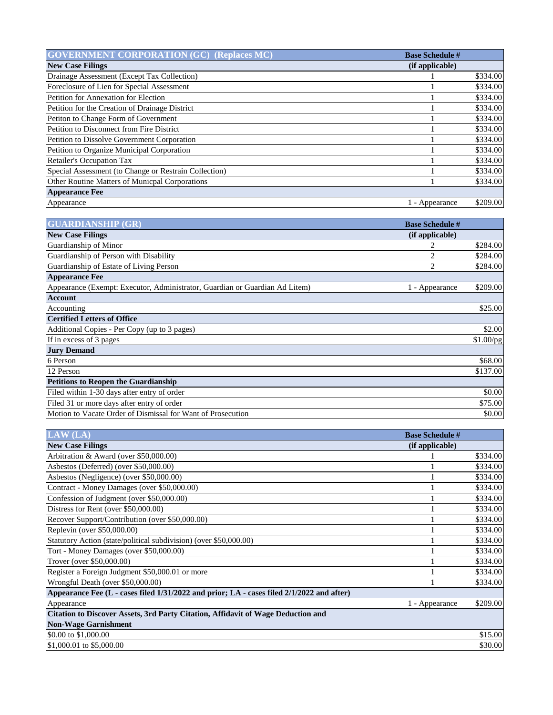| <b>GOVERNMENT CORPORATION (GC) (Replaces MC)</b>      | <b>Base Schedule #</b> |          |
|-------------------------------------------------------|------------------------|----------|
| <b>New Case Filings</b>                               | (if applicable)        |          |
| Drainage Assessment (Except Tax Collection)           |                        | \$334.00 |
| Foreclosure of Lien for Special Assessment            |                        | \$334.00 |
| Petition for Annexation for Election                  |                        | \$334.00 |
| Petition for the Creation of Drainage District        |                        | \$334.00 |
| Petiton to Change Form of Government                  |                        | \$334.00 |
| Petition to Disconnect from Fire District             |                        | \$334.00 |
| <b>Petition to Dissolve Government Corporation</b>    |                        | \$334.00 |
| Petition to Organize Municipal Corporation            |                        | \$334.00 |
| <b>Retailer's Occupation Tax</b>                      |                        | \$334.00 |
| Special Assessment (to Change or Restrain Collection) |                        | \$334.00 |
| Other Routine Matters of Municpal Corporations        |                        | \$334.00 |
| <b>Appearance Fee</b>                                 |                        |          |
| Appearance                                            | l - Appearance         | \$209.00 |

| <b>GUARDIANSHIP (GR)</b>                                                    | <b>Base Schedule #</b> |           |
|-----------------------------------------------------------------------------|------------------------|-----------|
| <b>New Case Filings</b>                                                     | (if applicable)        |           |
| Guardianship of Minor                                                       |                        | \$284.00  |
| Guardianship of Person with Disability                                      | 2                      | \$284.00  |
| Guardianship of Estate of Living Person                                     | 2                      | \$284.00  |
| <b>Appearance Fee</b>                                                       |                        |           |
| Appearance (Exempt: Executor, Administrator, Guardian or Guardian Ad Litem) | 1 - Appearance         | \$209.00  |
| <b>Account</b>                                                              |                        |           |
| Accounting                                                                  |                        | \$25.00   |
| <b>Certified Letters of Office</b>                                          |                        |           |
| Additional Copies - Per Copy (up to 3 pages)                                |                        | \$2.00    |
| If in excess of 3 pages                                                     |                        | \$1.00/pg |
| <b>Jury Demand</b>                                                          |                        |           |
| 6 Person                                                                    |                        | \$68.00   |
| 12 Person                                                                   |                        | \$137.00  |
| <b>Petitions to Reopen the Guardianship</b>                                 |                        |           |
| Filed within 1-30 days after entry of order                                 |                        | \$0.00    |
| Filed 31 or more days after entry of order                                  |                        | \$75.00   |
| Motion to Vacate Order of Dismissal for Want of Prosecution                 |                        | \$0.00    |

| LAW(LA)                                                                                   | <b>Base Schedule #</b> |          |
|-------------------------------------------------------------------------------------------|------------------------|----------|
| <b>New Case Filings</b>                                                                   | (if applicable)        |          |
| Arbitration & Award (over \$50,000.00)                                                    |                        | \$334.00 |
| Asbestos (Deferred) (over \$50,000.00)                                                    |                        | \$334.00 |
| Asbestos (Negligence) (over \$50,000.00)                                                  |                        | \$334.00 |
| Contract - Money Damages (over \$50,000.00)                                               |                        | \$334.00 |
| Confession of Judgment (over \$50,000.00)                                                 |                        | \$334.00 |
| Distress for Rent (over \$50,000.00)                                                      |                        | \$334.00 |
| Recover Support/Contribution (over \$50,000.00)                                           |                        | \$334.00 |
| Replevin (over \$50,000.00)                                                               |                        | \$334.00 |
| Statutory Action (state/political subdivision) (over \$50,000.00)                         |                        | \$334.00 |
| Tort - Money Damages (over \$50,000.00)                                                   |                        | \$334.00 |
| Trover (over \$50,000.00)                                                                 |                        | \$334.00 |
| Register a Foreign Judgment \$50,000.01 or more                                           |                        | \$334.00 |
| Wrongful Death (over \$50,000.00)                                                         |                        | \$334.00 |
| Appearance Fee (L - cases filed 1/31/2022 and prior; LA - cases filed 2/1/2022 and after) |                        |          |
| Appearance                                                                                | 1 - Appearance         | \$209.00 |
| <b>Citation to Discover Assets, 3rd Party Citation, Affidavit of Wage Deduction and</b>   |                        |          |
| <b>Non-Wage Garnishment</b>                                                               |                        |          |
| \$0.00 to \$1,000.00                                                                      |                        | \$15.00  |
| \$1,000.01 to \$5,000.00                                                                  |                        | \$30.00  |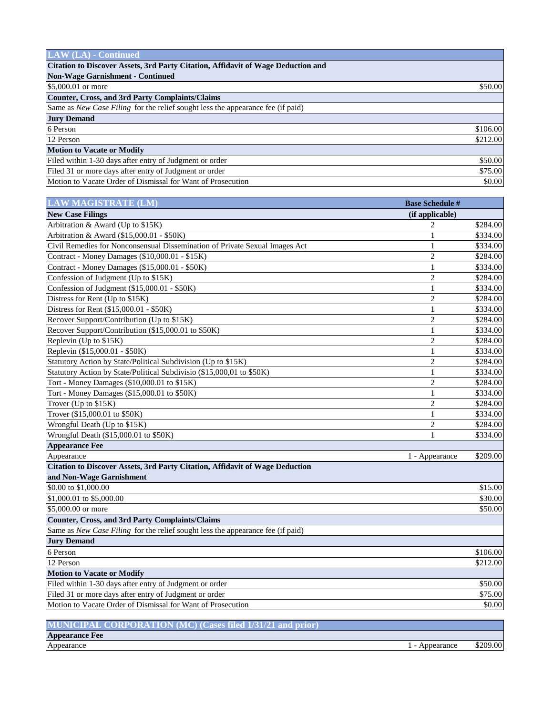| <b>LAW</b> (LA) - Continued                                                      |          |
|----------------------------------------------------------------------------------|----------|
| Citation to Discover Assets, 3rd Party Citation, Affidavit of Wage Deduction and |          |
| <b>Non-Wage Garnishment - Continued</b>                                          |          |
| \$5,000.01 or more                                                               | \$50.00  |
| Counter, Cross, and 3rd Party Complaints/Claims                                  |          |
| Same as New Case Filing for the relief sought less the appearance fee (if paid)  |          |
| <b>Jury Demand</b>                                                               |          |
| 6 Person                                                                         | \$106.00 |
| 12 Person                                                                        | \$212.00 |
| <b>Motion to Vacate or Modify</b>                                                |          |
| Filed within 1-30 days after entry of Judgment or order                          | \$50.00  |
| Filed 31 or more days after entry of Judgment or order                           | \$75.00  |
| Motion to Vacate Order of Dismissal for Want of Prosecution                      | \$0.00   |

| <b>LAW MAGISTRATE (LM)</b>                                                      | <b>Base Schedule #</b> |          |
|---------------------------------------------------------------------------------|------------------------|----------|
| <b>New Case Filings</b>                                                         | (if applicable)        |          |
| Arbitration & Award (Up to \$15K)                                               | $\overline{c}$         | \$284.00 |
| Arbitration & Award (\$15,000.01 - \$50K)                                       | 1                      | \$334.00 |
| Civil Remedies for Nonconsensual Dissemination of Private Sexual Images Act     | 1                      | \$334.00 |
| Contract - Money Damages (\$10,000.01 - \$15K)                                  | $\overline{2}$         | \$284.00 |
| Contract - Money Damages (\$15,000.01 - \$50K)                                  | 1                      | \$334.00 |
| Confession of Judgment (Up to \$15K)                                            | $\overline{c}$         | \$284.00 |
| Confession of Judgment (\$15,000.01 - \$50K)                                    | $\mathbf{1}$           | \$334.00 |
| Distress for Rent (Up to \$15K)                                                 | $\overline{c}$         | \$284.00 |
| Distress for Rent (\$15,000.01 - \$50K)                                         | 1                      | \$334.00 |
| Recover Support/Contribution (Up to \$15K)                                      | $\overline{2}$         | \$284.00 |
| Recover Support/Contribution (\$15,000.01 to \$50K)                             | 1                      | \$334.00 |
| Replevin (Up to \$15K)                                                          | $\overline{2}$         | \$284.00 |
| Replevin (\$15,000.01 - \$50K)                                                  | 1                      | \$334.00 |
| Statutory Action by State/Political Subdivision (Up to \$15K)                   | $\overline{2}$         | \$284.00 |
| Statutory Action by State/Political Subdivisio (\$15,000,01 to \$50K)           | 1                      | \$334.00 |
| Tort - Money Damages (\$10,000.01 to \$15K)                                     | $\overline{2}$         | \$284.00 |
| Tort - Money Damages (\$15,000.01 to \$50K)                                     | 1                      | \$334.00 |
| Trover (Up to \$15K)                                                            | $\overline{2}$         | \$284.00 |
| Trover (\$15,000.01 to \$50K)                                                   | 1                      | \$334.00 |
| Wrongful Death (Up to \$15K)                                                    | $\overline{c}$         | \$284.00 |
| Wrongful Death (\$15,000.01 to \$50K)                                           | 1                      | \$334.00 |
| <b>Appearance Fee</b>                                                           |                        |          |
| Appearance                                                                      | 1 - Appearance         | \$209.00 |
| Citation to Discover Assets, 3rd Party Citation, Affidavit of Wage Deduction    |                        |          |
| and Non-Wage Garnishment                                                        |                        |          |
| \$0.00 to \$1,000.00                                                            |                        | \$15.00  |
| \$1,000.01 to \$5,000.00                                                        |                        | \$30.00  |
| \$5,000.00 or more                                                              |                        | \$50.00  |
| <b>Counter, Cross, and 3rd Party Complaints/Claims</b>                          |                        |          |
| Same as New Case Filing for the relief sought less the appearance fee (if paid) |                        |          |
| <b>Jury Demand</b>                                                              |                        |          |
| 6 Person                                                                        |                        | \$106.00 |
| 12 Person                                                                       |                        | \$212.00 |
| <b>Motion to Vacate or Modify</b>                                               |                        |          |
| Filed within 1-30 days after entry of Judgment or order                         |                        | \$50.00  |
| Filed 31 or more days after entry of Judgment or order                          |                        | \$75.00  |
| Motion to Vacate Order of Dismissal for Want of Prosecution                     |                        | \$0.00   |

| MUNICIPAL CORPORATION (MC) (Cases filed 1/31/21 and prior) |            |          |
|------------------------------------------------------------|------------|----------|
| <b>Appearance Fee</b>                                      |            |          |
| Appearance                                                 | Appearance | \$209.00 |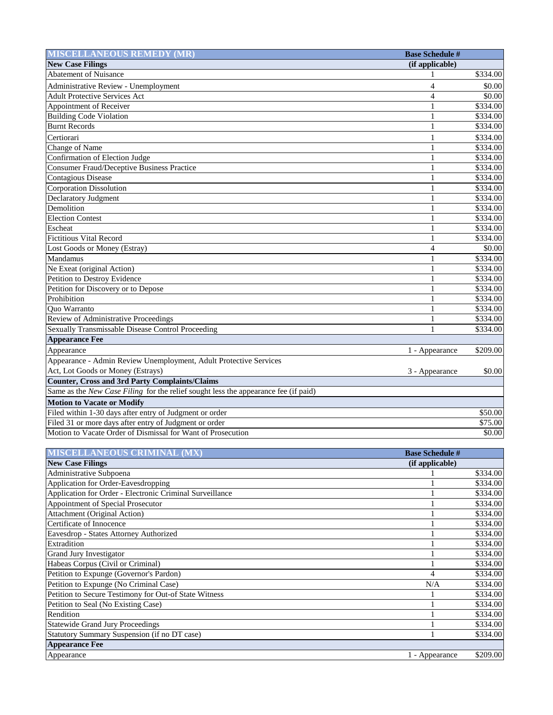| <b>MISCELLANEOUS REMEDY (MR)</b>                                                    | <b>Base Schedule #</b>   |                      |
|-------------------------------------------------------------------------------------|--------------------------|----------------------|
| <b>New Case Filings</b>                                                             | (if applicable)          |                      |
| <b>Abatement of Nuisance</b>                                                        |                          | \$334.00             |
| Administrative Review - Unemployment                                                | $\overline{\mathcal{L}}$ | \$0.00               |
| <b>Adult Protective Services Act</b>                                                | $\overline{\mathcal{L}}$ | \$0.00               |
| Appointment of Receiver                                                             |                          | \$334.00             |
| <b>Building Code Violation</b>                                                      |                          | \$334.00             |
| <b>Burnt Records</b>                                                                |                          | \$334.00             |
| Certiorari                                                                          | 1                        | \$334.00             |
| Change of Name                                                                      |                          | \$334.00             |
| Confirmation of Election Judge                                                      |                          | \$334.00             |
| <b>Consumer Fraud/Deceptive Business Practice</b>                                   | 1                        | \$334.00             |
| <b>Contagious Disease</b>                                                           | 1                        | \$334.00             |
| <b>Corporation Dissolution</b>                                                      | 1                        | \$334.00             |
| Declaratory Judgment                                                                | 1                        | \$334.00             |
| Demolition                                                                          | 1                        | \$334.00             |
| <b>Election Contest</b>                                                             |                          | \$334.00             |
| Escheat                                                                             |                          | \$334.00             |
| <b>Fictitious Vital Record</b>                                                      |                          | \$334.00             |
| Lost Goods or Money (Estray)                                                        | $\overline{\mathcal{L}}$ | \$0.00               |
| Mandamus                                                                            | 1                        | \$334.00             |
| Ne Exeat (original Action)                                                          | 1                        | \$334.00             |
| <b>Petition to Destroy Evidence</b>                                                 | 1                        | $\overline{$}334.00$ |
| Petition for Discovery or to Depose                                                 |                          | \$334.00             |
| Prohibition                                                                         |                          | \$334.00             |
| <b>Ouo Warranto</b>                                                                 |                          | \$334.00             |
| Review of Administrative Proceedings                                                |                          | \$334.00             |
| Sexually Transmissable Disease Control Proceeding                                   |                          | \$334.00             |
| <b>Appearance Fee</b>                                                               |                          |                      |
| Appearance                                                                          | 1 - Appearance           | \$209.00             |
| Appearance - Admin Review Unemployment, Adult Protective Services                   |                          |                      |
| Act, Lot Goods or Money (Estrays)                                                   | 3 - Appearance           | \$0.00               |
| <b>Counter, Cross and 3rd Party Complaints/Claims</b>                               |                          |                      |
| Same as the New Case Filing for the relief sought less the appearance fee (if paid) |                          |                      |
| <b>Motion to Vacate or Modify</b>                                                   |                          |                      |
| Filed within 1-30 days after entry of Judgment or order                             |                          | $\overline{$}50.00$  |
| Filed 31 or more days after entry of Judgment or order                              |                          | \$75.00              |
| Motion to Vacate Order of Dismissal for Want of Prosecution                         |                          | \$0.00               |

| <b>MISCELLANEOUS CRIMINAL (MX)</b>                       | <b>Base Schedule #</b> |          |
|----------------------------------------------------------|------------------------|----------|
| <b>New Case Filings</b>                                  | (if applicable)        |          |
| Administrative Subpoena                                  |                        | \$334.00 |
| Application for Order-Eavesdropping                      |                        | \$334.00 |
| Application for Order - Electronic Criminal Surveillance |                        | \$334.00 |
| Appointment of Special Prosecutor                        |                        | \$334.00 |
| Attachment (Original Action)                             |                        | \$334.00 |
| Certificate of Innocence                                 |                        | \$334.00 |
| Eavesdrop - States Attorney Authorized                   |                        | \$334.00 |
| Extradition                                              |                        | \$334.00 |
| <b>Grand Jury Investigator</b>                           |                        | \$334.00 |
| Habeas Corpus (Civil or Criminal)                        |                        | \$334.00 |
| Petition to Expunge (Governor's Pardon)                  | 4                      | \$334.00 |
| Petition to Expunge (No Criminal Case)                   | N/A                    | \$334.00 |
| Petition to Secure Testimony for Out-of State Witness    |                        | \$334.00 |
| Petition to Seal (No Existing Case)                      |                        | \$334.00 |
| Rendition                                                |                        | \$334.00 |
| <b>Statewide Grand Jury Proceedings</b>                  |                        | \$334.00 |
| Statutory Summary Suspension (if no DT case)             |                        | \$334.00 |
| <b>Appearance Fee</b>                                    |                        |          |
| Appearance                                               | 1 - Appearance         | \$209.00 |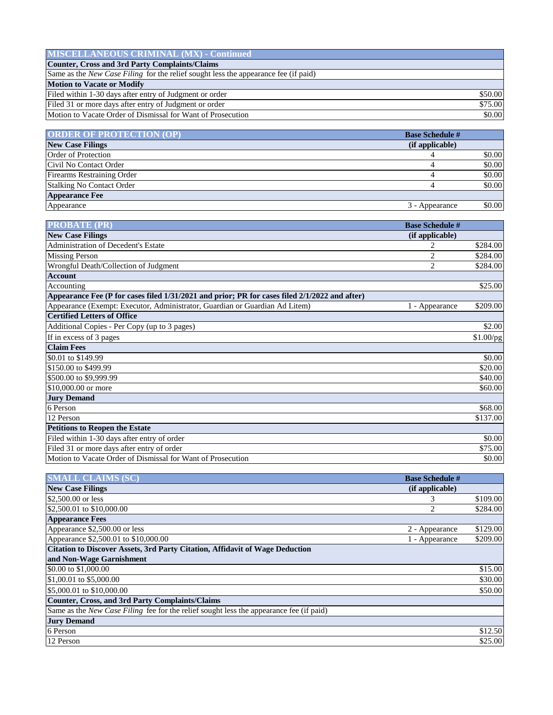| <b>MISCELLANEOUS CRIMINAL (MX) - Continued</b>                                             |         |
|--------------------------------------------------------------------------------------------|---------|
| <b>Counter, Cross and 3rd Party Complaints/Claims</b>                                      |         |
| Same as the <i>New Case Filing</i> for the relief sought less the appearance fee (if paid) |         |
| <b>Motion to Vacate or Modify</b>                                                          |         |
| Filed within 1-30 days after entry of Judgment or order                                    | \$50.00 |
| Filed 31 or more days after entry of Judgment or order                                     | \$75.00 |
| Motion to Vacate Order of Dismissal for Want of Prosecution                                | \$0.00  |

| <b>ORDER OF PROTECTION (OP)</b>  | <b>Base Schedule #</b>   |
|----------------------------------|--------------------------|
| <b>New Case Filings</b>          | (if applicable)          |
| Order of Protection              | \$0.00                   |
| Civil No Contact Order           | \$0.00                   |
| Firearms Restraining Order       | \$0.00                   |
| <b>Stalking No Contact Order</b> | \$0.00                   |
| <b>Appearance Fee</b>            |                          |
| Appearance                       | \$0.00<br>3 - Appearance |

| <b>PROBATE (PR)</b>                                                                           | <b>Base Schedule #</b> |           |
|-----------------------------------------------------------------------------------------------|------------------------|-----------|
| <b>New Case Filings</b>                                                                       | (if applicable)        |           |
| <b>Administration of Decedent's Estate</b>                                                    | 2                      | \$284.00  |
| <b>Missing Person</b>                                                                         | $\overline{2}$         | \$284.00  |
| Wrongful Death/Collection of Judgment                                                         | $\overline{c}$         | \$284.00  |
| <b>Account</b>                                                                                |                        |           |
| Accounting                                                                                    |                        | \$25.00   |
| Appearance Fee (P for cases filed 1/31/2021 and prior; PR for cases filed 2/1/2022 and after) |                        |           |
| Appearance (Exempt: Executor, Administrator, Guardian or Guardian Ad Litem)                   | 1 - Appearance         | \$209.00  |
| <b>Certified Letters of Office</b>                                                            |                        |           |
| Additional Copies - Per Copy (up to 3 pages)                                                  |                        | \$2.00    |
| If in excess of 3 pages                                                                       |                        | \$1.00/pg |
| <b>Claim Fees</b>                                                                             |                        |           |
| \$0.01 to \$149.99                                                                            |                        | \$0.00    |
| \$150,00 to \$499.99                                                                          |                        | \$20.00   |
| \$500.00 to \$9,999.99                                                                        |                        | \$40.00   |
| \$10,000.00 or more                                                                           |                        | \$60.00   |
| <b>Jury Demand</b>                                                                            |                        |           |
| 6 Person                                                                                      |                        | \$68.00   |
| 12 Person                                                                                     |                        | \$137.00  |
| <b>Petitions to Reopen the Estate</b>                                                         |                        |           |
| Filed within 1-30 days after entry of order                                                   |                        | \$0.00    |
| Filed 31 or more days after entry of order                                                    |                        | \$75.00   |
| Motion to Vacate Order of Dismissal for Want of Prosecution                                   |                        | \$0.00    |

| <b>SMALL CLAIMS (SC)</b>                                                                | <b>Base Schedule #</b> |          |
|-----------------------------------------------------------------------------------------|------------------------|----------|
| <b>New Case Filings</b>                                                                 | (if applicable)        |          |
| \$2,500.00 or less                                                                      | 3                      | \$109.00 |
| \$2,500.01 to \$10,000.00                                                               |                        | \$284.00 |
| <b>Appearance Fees</b>                                                                  |                        |          |
| Appearance \$2,500.00 or less                                                           | 2 - Appearance         | \$129.00 |
| Appearance \$2,500.01 to \$10,000.00                                                    | 1 - Appearance         | \$209.00 |
| <b>Citation to Discover Assets, 3rd Party Citation, Affidavit of Wage Deduction</b>     |                        |          |
| and Non-Wage Garnishment                                                                |                        |          |
| \$0.00 to \$1,000.00                                                                    |                        | \$15.00  |
| \$1,00.01 to \$5,000.00                                                                 |                        | \$30.00  |
| \$5,000.01 to \$10,000.00                                                               |                        | \$50.00  |
| <b>Counter, Cross, and 3rd Party Complaints/Claims</b>                                  |                        |          |
| Same as the New Case Filing fee for the relief sought less the appearance fee (if paid) |                        |          |
| <b>Jury Demand</b>                                                                      |                        |          |
| 6 Person                                                                                |                        | \$12.50  |
| 12 Person                                                                               |                        | \$25.00  |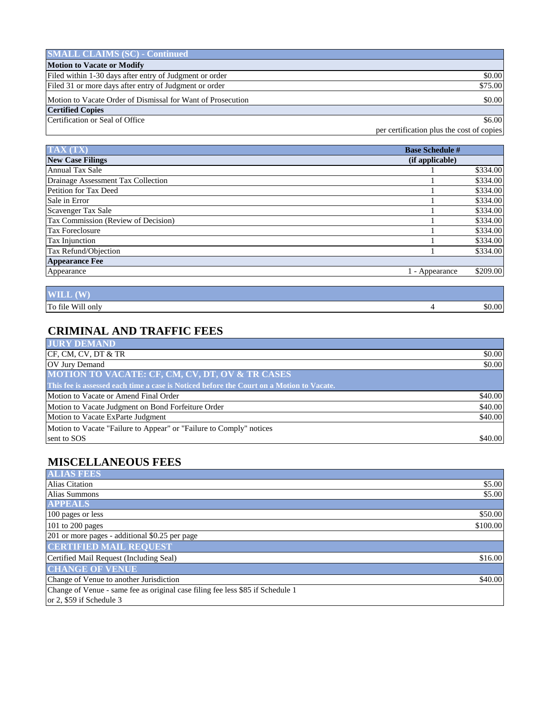| <b>SMALL CLAIMS (SC) - Continued</b>                        |         |
|-------------------------------------------------------------|---------|
| <b>Motion to Vacate or Modify</b>                           |         |
| Filed within 1-30 days after entry of Judgment or order     | \$0.00  |
| Filed 31 or more days after entry of Judgment or order      | \$75.00 |
| Motion to Vacate Order of Dismissal for Want of Prosecution | \$0.00  |
| <b>Certified Copies</b>                                     |         |
| Certification or Seal of Office                             | \$6.00  |

per certification plus the cost of copies

| <b>TAX (TX)</b>                     | <b>Base Schedule #</b> |          |
|-------------------------------------|------------------------|----------|
| <b>New Case Filings</b>             | (if applicable)        |          |
| <b>Annual Tax Sale</b>              |                        | \$334.00 |
| Drainage Assessment Tax Collection  |                        | \$334.00 |
| Petition for Tax Deed               |                        | \$334.00 |
| Sale in Error                       |                        | \$334.00 |
| Scavenger Tax Sale                  |                        | \$334.00 |
| Tax Commission (Review of Decision) |                        | \$334.00 |
| Tax Foreclosure                     |                        | \$334.00 |
| Tax Injunction                      |                        | \$334.00 |
| Tax Refund/Objection                |                        | \$334.00 |
| <b>Appearance Fee</b>               |                        |          |
| Appearance                          | 1 - Appearance         | \$209.00 |
|                                     |                        |          |

| $(\mathbf{W})$<br><b>WILL</b> |        |
|-------------------------------|--------|
| Will only<br>To file          | \$0.00 |

#### **CRIMINAL AND TRAFFIC FEES**

| <b>JURY DEMAND</b>                                                                       |         |
|------------------------------------------------------------------------------------------|---------|
| CF, CM, CV, DT & TR                                                                      | \$0.00  |
| <b>OV Jury Demand</b>                                                                    | \$0.00  |
| <b>MOTION TO VACATE: CF, CM, CV, DT, OV &amp; TR CASES</b>                               |         |
| This fee is assessed each time a case is Noticed before the Court on a Motion to Vacate. |         |
| Motion to Vacate or Amend Final Order                                                    | \$40.00 |
| Motion to Vacate Judgment on Bond Forfeiture Order                                       | \$40.00 |
| Motion to Vacate ExParte Judgment                                                        | \$40.00 |
| Motion to Vacate "Failure to Appear" or "Failure to Comply" notices                      |         |
| sent to SOS                                                                              | \$40.00 |

## **MISCELLANEOUS FEES**

| <b>ALIAS FEES</b>                                                              |          |
|--------------------------------------------------------------------------------|----------|
| <b>Alias Citation</b>                                                          | \$5.00   |
| Alias Summons                                                                  | \$5.00   |
| <b>APPEALS</b>                                                                 |          |
| 100 pages or less                                                              | \$50.00  |
| 101 to 200 pages                                                               | \$100.00 |
| 201 or more pages - additional \$0.25 per page                                 |          |
| <b>CERTIFIED MAIL REQUEST</b>                                                  |          |
| Certified Mail Request (Including Seal)                                        | \$16.00  |
| <b>CHANGE OF VENUE</b>                                                         |          |
| Change of Venue to another Jurisdiction                                        | \$40.00  |
| Change of Venue - same fee as original case filing fee less \$85 if Schedule 1 |          |
| or 2, \$59 if Schedule 3                                                       |          |